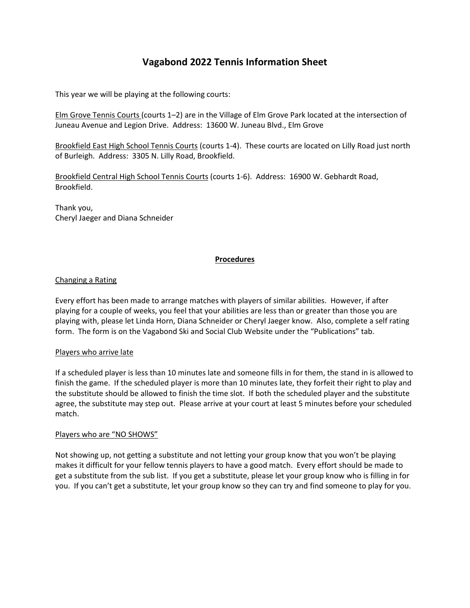# **Vagabond 2022 Tennis Information Sheet**

This year we will be playing at the following courts:

Elm Grove Tennis Courts (courts 1–2) are in the Village of Elm Grove Park located at the intersection of Juneau Avenue and Legion Drive. Address: 13600 W. Juneau Blvd., Elm Grove

Brookfield East High School Tennis Courts (courts 1-4). These courts are located on Lilly Road just north of Burleigh. Address: 3305 N. Lilly Road, Brookfield.

Brookfield Central High School Tennis Courts (courts 1-6). Address: 16900 W. Gebhardt Road, Brookfield.

Thank you, Cheryl Jaeger and Diana Schneider

### **Procedures**

#### Changing a Rating

Every effort has been made to arrange matches with players of similar abilities. However, if after playing for a couple of weeks, you feel that your abilities are less than or greater than those you are playing with, please let Linda Horn, Diana Schneider or Cheryl Jaeger know. Also, complete a self rating form. The form is on the Vagabond Ski and Social Club Website under the "Publications" tab.

#### Players who arrive late

If a scheduled player is less than 10 minutes late and someone fills in for them, the stand in is allowed to finish the game. If the scheduled player is more than 10 minutes late, they forfeit their right to play and the substitute should be allowed to finish the time slot. If both the scheduled player and the substitute agree, the substitute may step out. Please arrive at your court at least 5 minutes before your scheduled match.

#### Players who are "NO SHOWS"

Not showing up, not getting a substitute and not letting your group know that you won't be playing makes it difficult for your fellow tennis players to have a good match. Every effort should be made to get a substitute from the sub list. If you get a substitute, please let your group know who is filling in for you. If you can't get a substitute, let your group know so they can try and find someone to play for you.